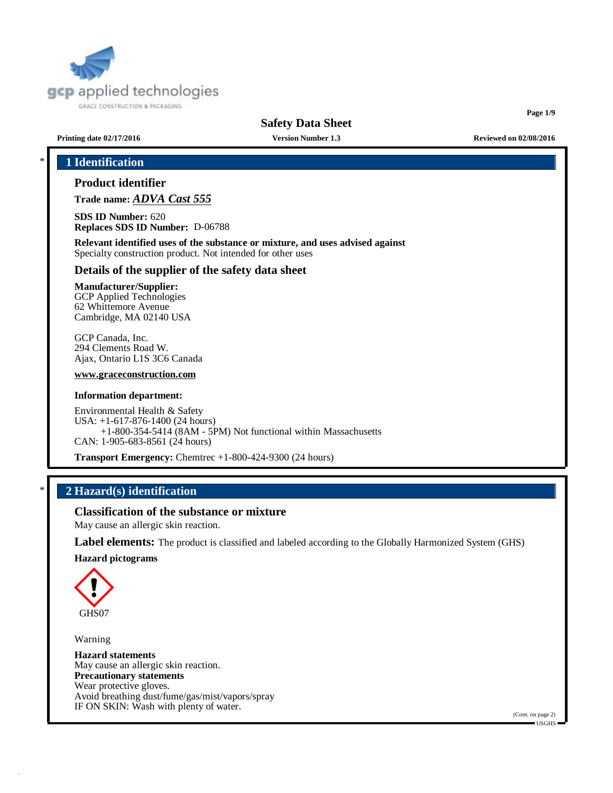

**Page 1/9**

**Printing date 02/17/2016 Version Number 1.3 Reviewed on 02/08/2016**

# \* **1 Identification**

# **Product identifier**

**Trade name:** *ADVA Cast 555*

**SDS ID Number:** 620 **Replaces SDS ID Number:** D-06788

**Relevant identified uses of the substance or mixture, and uses advised against** Specialty construction product. Not intended for other uses

# **Details of the supplier of the safety data sheet**

**Manufacturer/Supplier:** GCP Applied Technologies 62 Whittemore Avenue

Cambridge, MA 02140 USA

GCP Canada, Inc. 294 Clements Road W. Ajax, Ontario L1S 3C6 Canada

**[www.graceconstruction.com](http://www.graceconstruction.com)**

#### **Information department:**

Environmental Health & Safety USA: +1-617-876-1400 (24 hours) +1-800-354-5414 (8AM - 5PM) Not functional within Massachusetts CAN: 1-905-683-8561 (24 hours)

**Transport Emergency:** Chemtrec +1-800-424-9300 (24 hours)

# \* **2 Hazard(s) identification**

**Classification of the substance or mixture**

May cause an allergic skin reaction.

**Label elements:** The product is classified and labeled according to the Globally Harmonized System (GHS)

**Hazard pictograms**



Warning

**Hazard statements** May cause an allergic skin reaction. **Precautionary statements** Wear protective gloves. Avoid breathing dust/fume/gas/mist/vapors/spray IF ON SKIN: Wash with plenty of water.

(Cont. on page 2)  $\blacksquare$  USGHS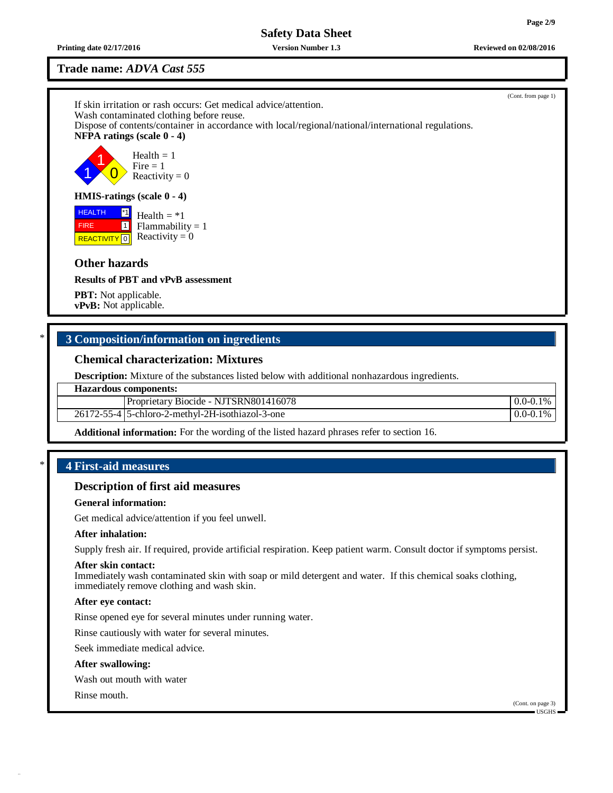**Printing date 02/17/2016 Version Number 1.3 Reviewed on 02/08/2016**

# **Trade name:** *ADVA Cast 555*

(Cont. from page 1) If skin irritation or rash occurs: Get medical advice/attention. Wash contaminated clothing before reuse. Dispose of contents/container in accordance with local/regional/national/international regulations. **NFPA ratings (scale 0 - 4)** 1 1  $\overline{0}$ Health  $= 1$  $Fire = 1$ Reactivity  $= 0$ **HMIS-ratings (scale 0 - 4) HEALTH FIRE REACTIVITY** 0 \*1 1 Health  $= *1$  $Flammability = 1$ Reactivity  $= 0$ **Other hazards Results of PBT and vPvB assessment PBT:** Not applicable. **vPvB:** Not applicable.

# \* **3 Composition/information on ingredients**

# **Chemical characterization: Mixtures**

**Description:** Mixture of the substances listed below with additional nonhazardous ingredients.

#### **Hazardous components:**

|            | Biocide - NJTSRN801416078<br>Proprietary    | $1\%$<br>0.0<br>$(0-0.1)$ |
|------------|---------------------------------------------|---------------------------|
| 26172-55-4 | 5-chloro-2-methyl-2<br>-2H-isothiazol-3-one | $1\%$<br>0.0<br>$(0-0.1)$ |

**Additional information:** For the wording of the listed hazard phrases refer to section 16.

# \* **4 First-aid measures**

#### **Description of first aid measures**

#### **General information:**

Get medical advice/attention if you feel unwell.

## **After inhalation:**

Supply fresh air. If required, provide artificial respiration. Keep patient warm. Consult doctor if symptoms persist.

#### **After skin contact:**

Immediately wash contaminated skin with soap or mild detergent and water. If this chemical soaks clothing, immediately remove clothing and wash skin.

#### **After eye contact:**

Rinse opened eye for several minutes under running water.

Rinse cautiously with water for several minutes.

Seek immediate medical advice.

#### **After swallowing:**

Wash out mouth with water

Rinse mouth.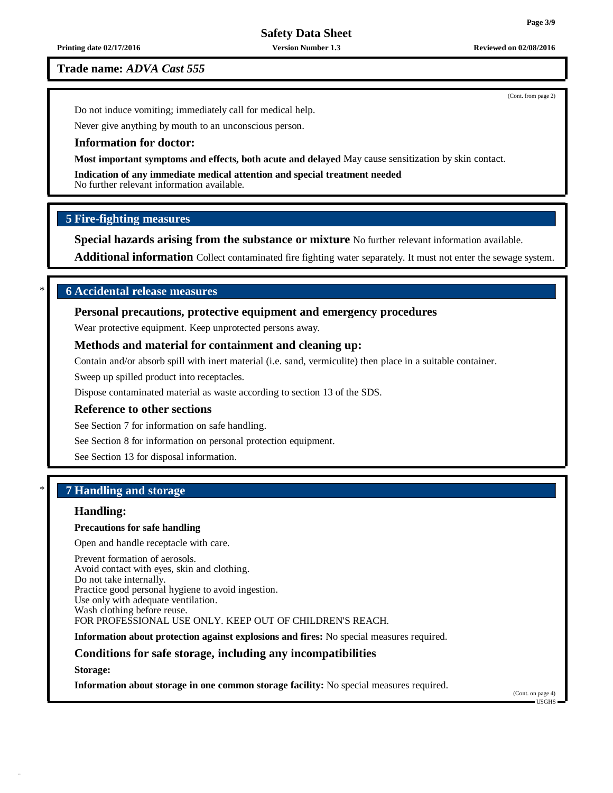**Printing date 02/17/2016 Version Number 1.3 Reviewed on 02/08/2016**

**Trade name:** *ADVA Cast 555*

(Cont. from page 2)

Do not induce vomiting; immediately call for medical help.

Never give anything by mouth to an unconscious person.

#### **Information for doctor:**

**Most important symptoms and effects, both acute and delayed** May cause sensitization by skin contact.

**Indication of any immediate medical attention and special treatment needed** No further relevant information available.

# **5 Fire-fighting measures**

**Special hazards arising from the substance or mixture** No further relevant information available.

**Additional information** Collect contaminated fire fighting water separately. It must not enter the sewage system.

# \* **6 Accidental release measures**

### **Personal precautions, protective equipment and emergency procedures**

Wear protective equipment. Keep unprotected persons away.

### **Methods and material for containment and cleaning up:**

Contain and/or absorb spill with inert material (i.e. sand, vermiculite) then place in a suitable container.

Sweep up spilled product into receptacles.

Dispose contaminated material as waste according to section 13 of the SDS.

#### **Reference to other sections**

See Section 7 for information on safe handling.

See Section 8 for information on personal protection equipment.

See Section 13 for disposal information.

# \* **7 Handling and storage**

# **Handling:**

#### **Precautions for safe handling**

Open and handle receptacle with care.

Prevent formation of aerosols. Avoid contact with eyes, skin and clothing. Do not take internally. Practice good personal hygiene to avoid ingestion. Use only with adequate ventilation. Wash clothing before reuse. FOR PROFESSIONAL USE ONLY. KEEP OUT OF CHILDREN'S REACH.

**Information about protection against explosions and fires:** No special measures required.

### **Conditions for safe storage, including any incompatibilities**

**Storage:**

**Information about storage in one common storage facility:** No special measures required.

(Cont. on page 4) USGHS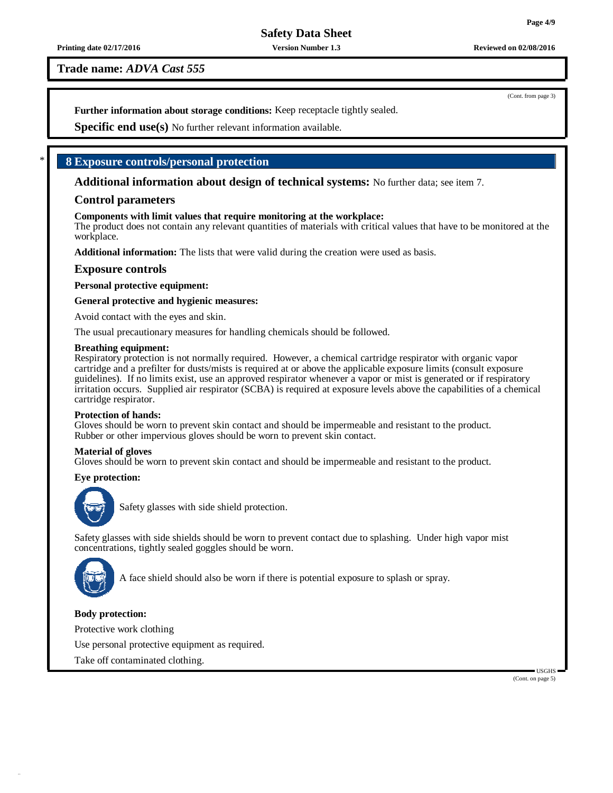# **Trade name:** *ADVA Cast 555*

**Further information about storage conditions:** Keep receptacle tightly sealed.

**Specific end use(s)** No further relevant information available.

# \* **8 Exposure controls/personal protection**

**Additional information about design of technical systems:** No further data; see item 7.

### **Control parameters**

#### **Components with limit values that require monitoring at the workplace:**

The product does not contain any relevant quantities of materials with critical values that have to be monitored at the workplace.

**Additional information:** The lists that were valid during the creation were used as basis.

### **Exposure controls**

**Personal protective equipment:**

#### **General protective and hygienic measures:**

Avoid contact with the eyes and skin.

The usual precautionary measures for handling chemicals should be followed.

#### **Breathing equipment:**

Respiratory protection is not normally required. However, a chemical cartridge respirator with organic vapor cartridge and a prefilter for dusts/mists is required at or above the applicable exposure limits (consult exposure guidelines). If no limits exist, use an approved respirator whenever a vapor or mist is generated or if respiratory irritation occurs. Supplied air respirator (SCBA) is required at exposure levels above the capabilities of a chemical cartridge respirator.

#### **Protection of hands:**

Gloves should be worn to prevent skin contact and should be impermeable and resistant to the product. Rubber or other impervious gloves should be worn to prevent skin contact.

#### **Material of gloves**

Gloves should be worn to prevent skin contact and should be impermeable and resistant to the product.

#### **Eye protection:**



Safety glasses with side shield protection.

Safety glasses with side shields should be worn to prevent contact due to splashing. Under high vapor mist concentrations, tightly sealed goggles should be worn.



A face shield should also be worn if there is potential exposure to splash or spray.

#### **Body protection:**

Protective work clothing

Use personal protective equipment as required.

Take off contaminated clothing.

(Cont. on page 5)

USGHS

(Cont. from page 3)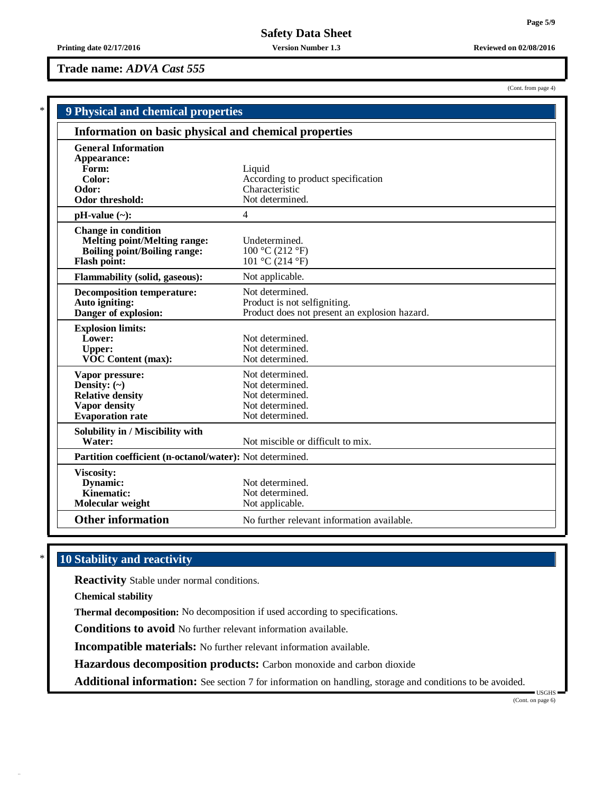# **Trade name:** *ADVA Cast 555*

| (Cont. from page 4) |  |  |  |
|---------------------|--|--|--|
|---------------------|--|--|--|

| 9 Physical and chemical properties                                                                                              |                                                                                                  |
|---------------------------------------------------------------------------------------------------------------------------------|--------------------------------------------------------------------------------------------------|
| Information on basic physical and chemical properties                                                                           |                                                                                                  |
| <b>General Information</b><br>Appearance:<br>Form:                                                                              | Liquid                                                                                           |
| Color:<br>Odor:<br>Odor threshold:                                                                                              | According to product specification<br>Characteristic<br>Not determined.                          |
| $pH-value (\sim):$                                                                                                              | $\overline{4}$                                                                                   |
| <b>Change in condition</b><br><b>Melting point/Melting range:</b><br><b>Boiling point/Boiling range:</b><br><b>Flash point:</b> | Undetermined.<br>100 °C (212 °F)<br>101 °C (214 °F)                                              |
| <b>Flammability (solid, gaseous):</b>                                                                                           | Not applicable.                                                                                  |
| <b>Decomposition temperature:</b><br>Auto igniting:<br>Danger of explosion:                                                     | Not determined.<br>Product is not selfigniting.<br>Product does not present an explosion hazard. |
| <b>Explosion limits:</b><br>Lower:<br><b>Upper:</b><br><b>VOC Content (max):</b>                                                | Not determined.<br>Not determined.<br>Not determined.                                            |
| Vapor pressure:<br>Density: $(\sim)$<br><b>Relative density</b><br><b>Vapor density</b><br><b>Evaporation</b> rate              | Not determined.<br>Not determined.<br>Not determined.<br>Not determined.<br>Not determined.      |
| Solubility in / Miscibility with<br>Water:                                                                                      | Not miscible or difficult to mix.                                                                |
| Partition coefficient (n-octanol/water): Not determined.                                                                        |                                                                                                  |
| Viscosity:<br>Dynamic:<br>Kinematic:<br>Molecular weight                                                                        | Not determined.<br>Not determined.<br>Not applicable.                                            |
| <b>Other information</b>                                                                                                        | No further relevant information available.                                                       |

# \* **10 Stability and reactivity**

**Reactivity** Stable under normal conditions.

**Chemical stability**

**Thermal decomposition:** No decomposition if used according to specifications.

**Conditions to avoid** No further relevant information available.

**Incompatible materials:** No further relevant information available.

**Hazardous decomposition products:** Carbon monoxide and carbon dioxide

**Additional information:** See section 7 for information on handling, storage and conditions to be avoided.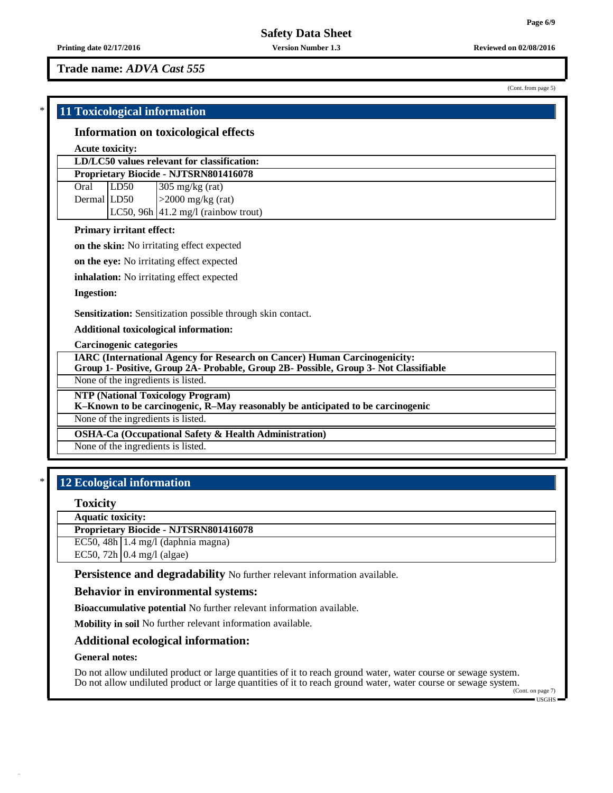(Cont. from page 5)

**Printing date 02/17/2016 Version Number 1.3 Reviewed on 02/08/2016**

**Trade name:** *ADVA Cast 555*

# \* **11 Toxicological information**

#### **Information on toxicological effects**

#### **Acute toxicity:**

### **LD/LC50 values relevant for classification: Proprietary Biocide - NJTSRN801416078**

Oral LD50 305 mg/kg (rat)

Dermal  $|LD50$   $|>2000$  mg/kg (rat) LC50, 96h  $|41.2 \text{ mg/l}$  (rainbow trout)

#### **Primary irritant effect:**

**on the skin:** No irritating effect expected

**on the eye:** No irritating effect expected

**inhalation:** No irritating effect expected

**Ingestion:**

**Sensitization:** Sensitization possible through skin contact.

**Additional toxicological information:**

**Carcinogenic categories**

**IARC (International Agency for Research on Cancer) Human Carcinogenicity: Group 1- Positive, Group 2A- Probable, Group 2B- Possible, Group 3- Not Classifiable**

None of the ingredients is listed.

**NTP (National Toxicology Program)**

**K–Known to be carcinogenic, R–May reasonably be anticipated to be carcinogenic**

None of the ingredients is listed.

**OSHA-Ca (Occupational Safety & Health Administration)**

None of the ingredients is listed.

# \* **12 Ecological information**

#### **Toxicity**

**Aquatic toxicity:**

**Proprietary Biocide - NJTSRN801416078**

EC50, 48h  $\vert$  1.4 mg/l (daphnia magna)

EC50, 72h  $\vert$  0.4 mg/l (algae)

**Persistence and degradability** No further relevant information available.

#### **Behavior in environmental systems:**

**Bioaccumulative potential** No further relevant information available.

**Mobility in soil** No further relevant information available.

#### **Additional ecological information:**

#### **General notes:**

Do not allow undiluted product or large quantities of it to reach ground water, water course or sewage system. Do not allow undiluted product or large quantities of it to reach ground water, water course or sewage system.

(Cont. on page 7)  $\blacksquare$  USGHS  $\blacksquare$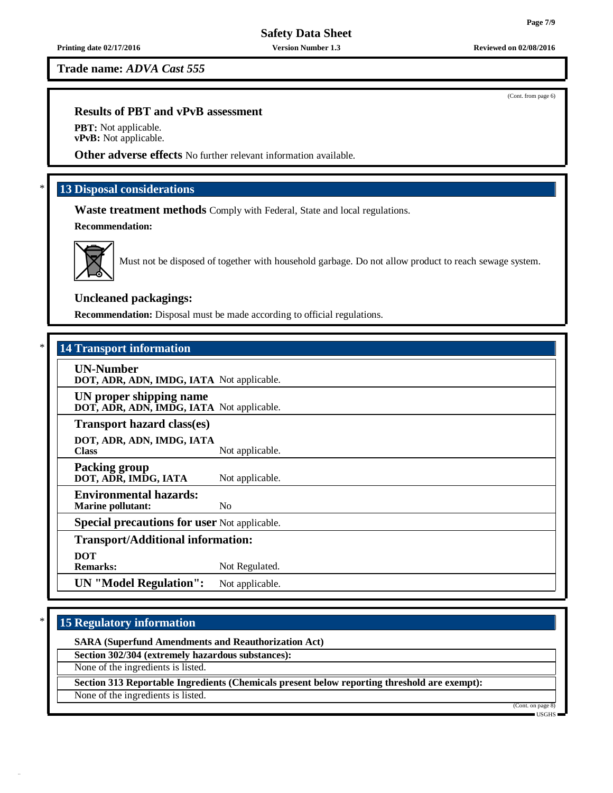**Trade name:** *ADVA Cast 555*

### **Results of PBT and vPvB assessment**

**PBT:** Not applicable. **vPvB:** Not applicable.

**Other adverse effects** No further relevant information available.

# \* **13 Disposal considerations**

**Waste treatment methods** Comply with Federal, State and local regulations.

**Recommendation:**



Must not be disposed of together with household garbage. Do not allow product to reach sewage system.

# **Uncleaned packagings:**

**Recommendation:** Disposal must be made according to official regulations.

# \* **14 Transport information**

**UN-Number DOT, ADR, ADN, IMDG, IATA** Not applicable.

**UN proper shipping name DOT, ADR, ADN, IMDG, IATA** Not applicable.

**Transport hazard class(es)**

**DOT, ADR, ADN, IMDG, IATA** Not applicable.

**Packing group DOT, ADR, IMDG, IATA** Not applicable.

**Environmental hazards:**

**Marine pollutant:** No

**Special precautions for user** Not applicable.

# **Transport/Additional information:**

**DOT**

Not Regulated.

**UN "Model Regulation":** Not applicable.

# \* **15 Regulatory information**

**SARA (Superfund Amendments and Reauthorization Act)**

**Section 302/304 (extremely hazardous substances):**

None of the ingredients is listed.

**Section 313 Reportable Ingredients (Chemicals present below reporting threshold are exempt):**

None of the ingredients is listed.

(Cont. on pag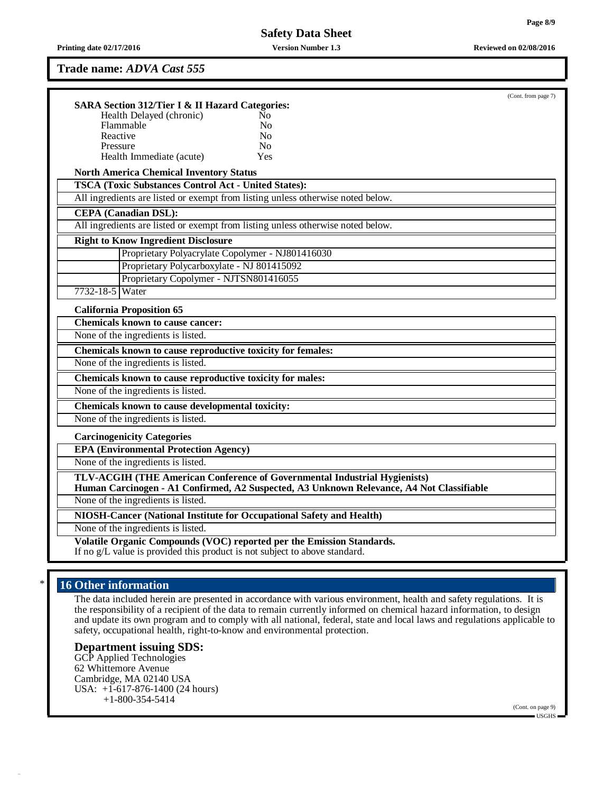**Printing date 02/17/2016 Version Number 1.3 Reviewed on 02/08/2016**

### **Trade name:** *ADVA Cast 555*

| <b>SARA Section 312/Tier I &amp; II Hazard Categories:</b>           |                                                                                                                                                                       | (Cont. from page 7) |
|----------------------------------------------------------------------|-----------------------------------------------------------------------------------------------------------------------------------------------------------------------|---------------------|
| Health Delayed (chronic)                                             | No.                                                                                                                                                                   |                     |
| Flammable                                                            | N <sub>0</sub>                                                                                                                                                        |                     |
| Reactive                                                             | N <sub>o</sub>                                                                                                                                                        |                     |
| Pressure                                                             | N <sub>0</sub>                                                                                                                                                        |                     |
| Health Immediate (acute)                                             | <b>Yes</b>                                                                                                                                                            |                     |
| <b>North America Chemical Inventory Status</b>                       |                                                                                                                                                                       |                     |
| <b>TSCA (Toxic Substances Control Act - United States):</b>          | All ingredients are listed or exempt from listing unless otherwise noted below.                                                                                       |                     |
|                                                                      |                                                                                                                                                                       |                     |
| <b>CEPA</b> (Canadian DSL):                                          |                                                                                                                                                                       |                     |
|                                                                      | All ingredients are listed or exempt from listing unless otherwise noted below.                                                                                       |                     |
| <b>Right to Know Ingredient Disclosure</b>                           |                                                                                                                                                                       |                     |
| Proprietary Polyacrylate Copolymer - NJ801416030                     |                                                                                                                                                                       |                     |
| Proprietary Polycarboxylate - NJ 801415092                           |                                                                                                                                                                       |                     |
| Proprietary Copolymer - NJTSN801416055                               |                                                                                                                                                                       |                     |
| 7732-18-5 Water                                                      |                                                                                                                                                                       |                     |
| <b>California Proposition 65</b>                                     |                                                                                                                                                                       |                     |
| <b>Chemicals known to cause cancer:</b>                              |                                                                                                                                                                       |                     |
| None of the ingredients is listed.                                   |                                                                                                                                                                       |                     |
| Chemicals known to cause reproductive toxicity for females:          |                                                                                                                                                                       |                     |
| None of the ingredients is listed.                                   |                                                                                                                                                                       |                     |
| Chemicals known to cause reproductive toxicity for males:            |                                                                                                                                                                       |                     |
| None of the ingredients is listed.                                   |                                                                                                                                                                       |                     |
| Chemicals known to cause developmental toxicity:                     |                                                                                                                                                                       |                     |
| None of the ingredients is listed.                                   |                                                                                                                                                                       |                     |
| <b>Carcinogenicity Categories</b>                                    |                                                                                                                                                                       |                     |
| <b>EPA (Environmental Protection Agency)</b>                         |                                                                                                                                                                       |                     |
| None of the ingredients is listed.                                   |                                                                                                                                                                       |                     |
|                                                                      | TLV-ACGIH (THE American Conference of Governmental Industrial Hygienists)<br>Human Carcinogen - A1 Confirmed, A2 Suspected, A3 Unknown Relevance, A4 Not Classifiable |                     |
| None of the ingredients is listed.                                   |                                                                                                                                                                       |                     |
| NIOSH-Cancer (National Institute for Occupational Safety and Health) |                                                                                                                                                                       |                     |
| None of the ingredients is listed.                                   |                                                                                                                                                                       |                     |
|                                                                      | Volatile Organic Compounds (VOC) reported per the Emission Standards.                                                                                                 |                     |

# \* **16 Other information**

The data included herein are presented in accordance with various environment, health and safety regulations. It is the responsibility of a recipient of the data to remain currently informed on chemical hazard information, to design and update its own program and to comply with all national, federal, state and local laws and regulations applicable to safety, occupational health, right-to-know and environmental protection.

# **Department issuing SDS:**

GCP Applied Technologies 62 Whittemore Avenue Cambridge, MA 02140 USA USA: +1-617-876-1400 (24 hours) +1-800-354-5414

(Cont. on page 9) USGHS